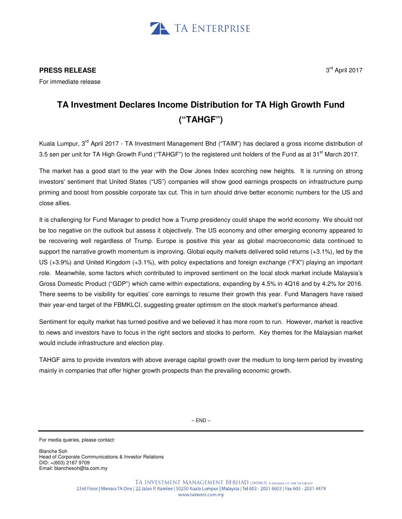

**PRESS RELEASE**

For immediate release

## **TA Investment Declares Income Distribution for TA High Growth Fund ("TAHGF")**

Kuala Lumpur, 3<sup>rd</sup> April 2017 - TA Investment Management Bhd ("TAIM") has declared a gross income distribution of 3.5 sen per unit for TA High Growth Fund ("TAHGF") to the registered unit holders of the Fund as at 31<sup>st</sup> March 2017.

The market has a good start to the year with the Dow Jones Index scorching new heights. It is running on strong investors' sentiment that United States ("US") companies will show good earnings prospects on infrastructure pump priming and boost from possible corporate tax cut. This in turn should drive better economic numbers for the US and close allies.

It is challenging for Fund Manager to predict how a Trump presidency could shape the world economy. We should not be too negative on the outlook but assess it objectively. The US economy and other emerging economy appeared to be recovering well regardless of Trump. Europe is positive this year as global macroeconomic data continued to support the narrative growth momentum is improving. Global equity markets delivered solid returns (+3.1%), led by the US (+3.9%) and United Kingdom (+3.1%), with policy expectations and foreign exchange ("FX") playing an important role. Meanwhile, some factors which contributed to improved sentiment on the local stock market include Malaysia's Gross Domestic Product ("GDP") which came within expectations, expanding by 4.5% in 4Q16 and by 4.2% for 2016. There seems to be visibility for equities' core earnings to resume their growth this year. Fund Managers have raised their year-end target of the FBMKLCI, suggesting greater optimism on the stock market's performance ahead.

Sentiment for equity market has turned positive and we believed it has more room to run. However, market is reactive to news and investors have to focus in the right sectors and stocks to perform. Key themes for the Malaysian market would include infrastructure and election play.

TAHGF aims to provide investors with above average capital growth over the medium to long-term period by investing mainly in companies that offer higher growth prospects than the prevailing economic growth.

Blanche Soh Head of Corporate Communications & Investor Relations DID: +(603) 2167 9709 Email: blanchesoh@ta.com.my

For media queries, please contact: